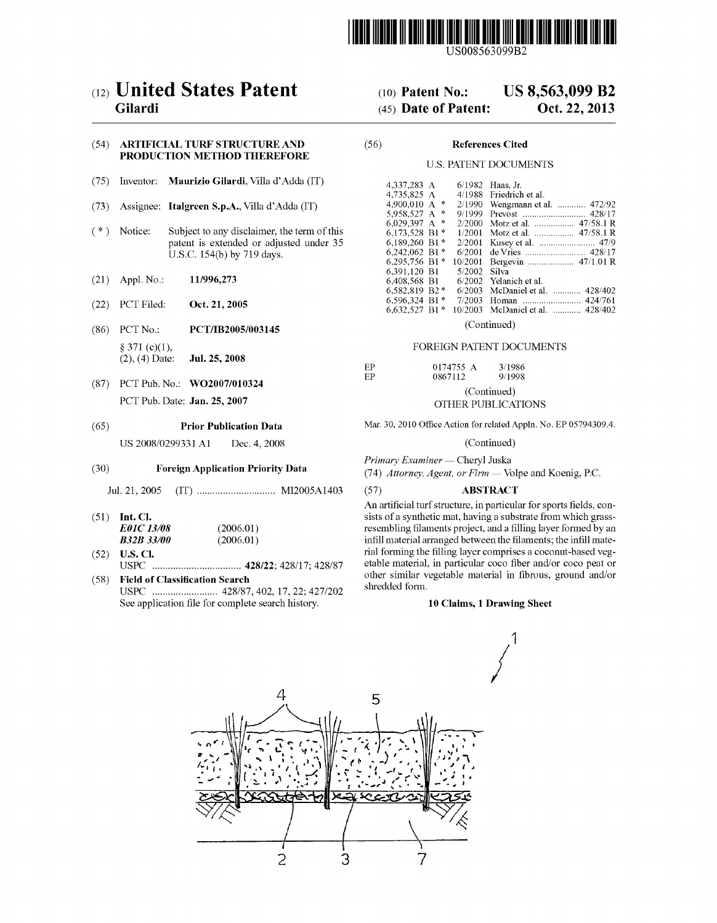

US008563099B2

# (12) United States Patent

# Gilardi

### (54) ARTIFICIAL TURF STRUCTURE AND PRODUCTION METHOD THEREFORE

- (75) Inventor: Maurizio Gilardi, V1lla d'Adda (IT)
- (73) Assignee: Italgreen S.p.A., Villa d'Adda (IT)
- ( \* ) Notice: Subject to any disclaimer, the term of this patent is extended or adjusted under 35 U.S.C. 154(b) by 719 days.
- (21) Appl. No.: 11/996,273
- (22) PCT Filed: Oct. 21, 2005
- (86) PCT No.:  $§ 371 (c)(1),$ (2), (4) Date: PCT/IB2005/003145 Jul. 25, 2008
- (87) PCTPub.No.: WO2007/010324 PCT Pub. Date: Jan. 25, 2007

#### (65) Prior Publication Data

US 2008/0299331 A1 Dec. 4, 2008

# (30) Foreign Application Priority Data

Jul. 21, 2005 (IT) ............................ .. MI2005A1403

- (51) Int. Cl. E01C 13/08 B32B 33/00 (2006.01)  $(2006.01)$
- US. Cl. USPC ................................ .. 428/22; 428/17; 428/87 (52)
- (58) Field of Classification Search USPC ....................... .. 428/87, 402, 17, 22; 427/202 See application file for complete search history.

#### US 8,563,099 B2 (10) Patent N0.:

#### Oct. 22, 2013 (45) Date of Patent:

#### (56) References Cited

#### U.S. PATENT DOCUMENTS

| 4.337.283 A      |        | 6/1982  | Haas. Jr.                |
|------------------|--------|---------|--------------------------|
| 4,735,825 A      |        | 4/1988  | Friedrich et al.         |
| 4.900.010 A $*$  |        | 2/1990  | Wengmann et al.  472/92  |
| 5,958,527 A      | $\ast$ | 9/1999  |                          |
| 6.029.397 A $*$  |        | 2/2000  | Motz et al.  47/58.1 R   |
| 6.173.528 B1 $*$ |        | 1/2001  |                          |
| 6,189,260 B1*    |        | 2/2001  |                          |
| 6.242.062 B1*    |        | 6/2001  |                          |
| 6.295.756 B1*    |        | 10/2001 |                          |
| 6,391,120 B1     |        | 5/2002  | Silva                    |
| 6.408.568 B1     |        | 6/2002  | Yelanich et al.          |
| 6.582.819 B2*    |        | 6/2003  | McDaniel et al.  428/402 |
| 6.596.324 B1*    |        | 7/2003  |                          |
| $6.632.527 B1*$  |        | 10/2003 | McDaniel et al.  428/402 |
|                  |        |         |                          |

(Continued)

### FOREIGN PATENT DOCUMENTS

| EР | 0174755 A | 3/1986      |
|----|-----------|-------------|
| FР | 0867112   | 9/1998      |
|    |           | (Continued) |

# OTHER PUBLICATIONS

Mar. 30, 2010 Office Action for related Appln. No. EP 05794309.4.

(Continued)

Primary Examiner - Cheryl Juska

(74) Attorney, Agent, or Firm  $-$  Volpe and Koenig, P.C.

### (57) ABSTRACT

An artificial turf structure, in particular for sports fields, consists of a synthetic mat, having a substrate from Which grass resembling filaments project, and a filling layer formed by an infill material arranged between the filaments; the infill material forming the filling layer comprises a coconut-based vegetable material, in particular coco fiber and/or coco peat or other similar vegetable material in fibrous, ground and/or shredded form.

#### 10 Claims, 1 Drawing Sheet

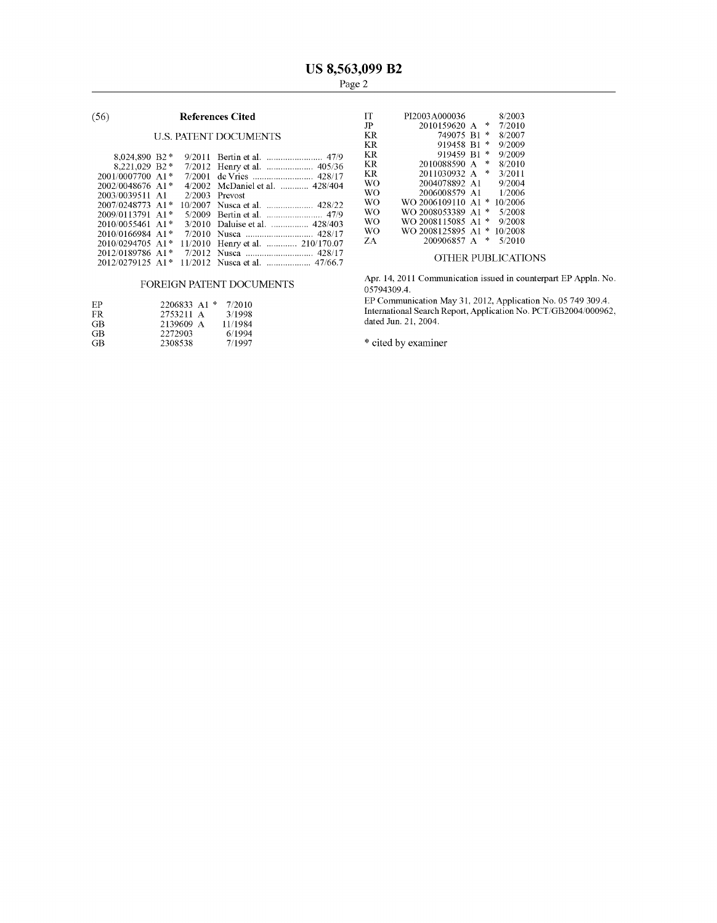# U.S. PATENT DOCUMENTS

| $8.024.890 B2*$<br>$2001/0007700$ A1 <sup>*</sup><br>$2002/0048676$ A <sub>1</sub> <sup>*</sup><br>2003/0039511 A1<br>$2007/0248773$ A <sub>1</sub> <sup>*</sup><br>$2009/0113791$ A <sub>1</sub> *<br>$2010/0166984$ A <sub>1</sub> * | 4/2002 McDaniel et al.  428/404<br>$2/2003$ Prevost<br>2010/0294705 A1* 11/2010 Henry et al.  210/170.07 | KR.<br>KR.<br>KR.<br>WO.<br>WO.<br>WO.<br>WO.<br>WO.<br>WO.<br>ZA. | 9/2009<br>919459 B1 $*$<br>8/2010<br>2010088590 A<br>$\ast$<br>3/2011<br>2011030932 A<br>- 14<br>9/2004<br>2004078892 A1<br>1/2006<br>2006008579 A1<br>WO 2006109110 A1 * 10/2006<br>WO 2008053389 A1 *<br>5/2008<br>WO 2008115085 A1 *<br>9/2008<br>WO 2008125895 A1 * 10/2008<br>5/2010<br>$200906857$ A $*$ |
|----------------------------------------------------------------------------------------------------------------------------------------------------------------------------------------------------------------------------------------|----------------------------------------------------------------------------------------------------------|--------------------------------------------------------------------|----------------------------------------------------------------------------------------------------------------------------------------------------------------------------------------------------------------------------------------------------------------------------------------------------------------|
|                                                                                                                                                                                                                                        |                                                                                                          |                                                                    | OTHER PUBLICATIONS                                                                                                                                                                                                                                                                                             |

## FOREIGN PATENT DOCUMENTS

| ЕP | $2206833$ A1 $*$ 7/2010 | -EP Communication N    |
|----|-------------------------|------------------------|
| FR | 3/1998<br>2753211 A     | International Search I |
| GB | 2139609 A<br>11/1984    | dated Jun. 21, 2004.   |
| GВ | 6/1994<br>2272903       |                        |
| GВ | 7/1997<br>2308538       | * cited by examine     |

| (56)<br><b>References Cited</b>            |  |  | IТ                                                | PI2003A000036 | 8/2003                        |         |
|--------------------------------------------|--|--|---------------------------------------------------|---------------|-------------------------------|---------|
|                                            |  |  |                                                   | JP            | 2010159620 A<br>千             | 7/2010  |
|                                            |  |  | <b>U.S. PATENT DOCUMENTS</b>                      | KR.           | 749075 B1 *                   | 8/2007  |
|                                            |  |  |                                                   | KR.           | 919458 B1 $*$                 | 9/2009  |
| 8,024,890 B2 *                             |  |  |                                                   | KR.           | 919459 B1 $*$                 | 9/2009  |
| $8,221,029$ B <sub>2</sub> <sup>*</sup>    |  |  |                                                   | KR.           | $2010088590$ A $*$            | 8/2010  |
| $2001/0007700$ A <sub>1</sub> <sup>*</sup> |  |  |                                                   | KR.           | 2011030932 A<br>$\mathcal{H}$ | 3/2011  |
| $2002/0048676$ A <sub>1</sub> <sup>*</sup> |  |  | 4/2002 McDaniel et al.  428/404                   | WO.           | 2004078892 A1                 | 9/2004  |
| 2003/0039511 A1                            |  |  | $2/2003$ Prevost                                  | WO.           | 2006008579 A1                 | 1/2006  |
| $2007/0248773$ A <sub>1</sub> <sup>*</sup> |  |  |                                                   | WO.           | WO 2006109110 A1 *            | 10/2006 |
| $2009/0113791$ A <sub>1</sub> *            |  |  |                                                   | WO.           | WO 2008053389 A1 *            | 5/2008  |
| $2010/0055461$ A <sub>1</sub> <sup>*</sup> |  |  | 3/2010 Daluise et al.  428/403                    | WO.           | WO 2008115085 A1 *            | 9/2008  |
| $2010/0166984$ A <sub>1</sub> *            |  |  |                                                   | WO.           | WO 2008125895 A1 * 10/2008    |         |
|                                            |  |  | 2010/0294705 A1* 11/2010 Henry et al.  210/170.07 | ZA.           | 200906857 A<br>$\mathcal{A}$  | 5/2010  |

Apr. 14, 2011 Communication issued in counterpart EP Appln. No.

EP Communication May 31, 2012, Application No. 05 749 309.4. EP 2206833 A1 \* 7/2010 FR 2753211 A 3/1998 International SearchReport,ApplicationNo.PCT/GB2004/000962,

 $\hspace{0.1mm}^*$  cited by examiner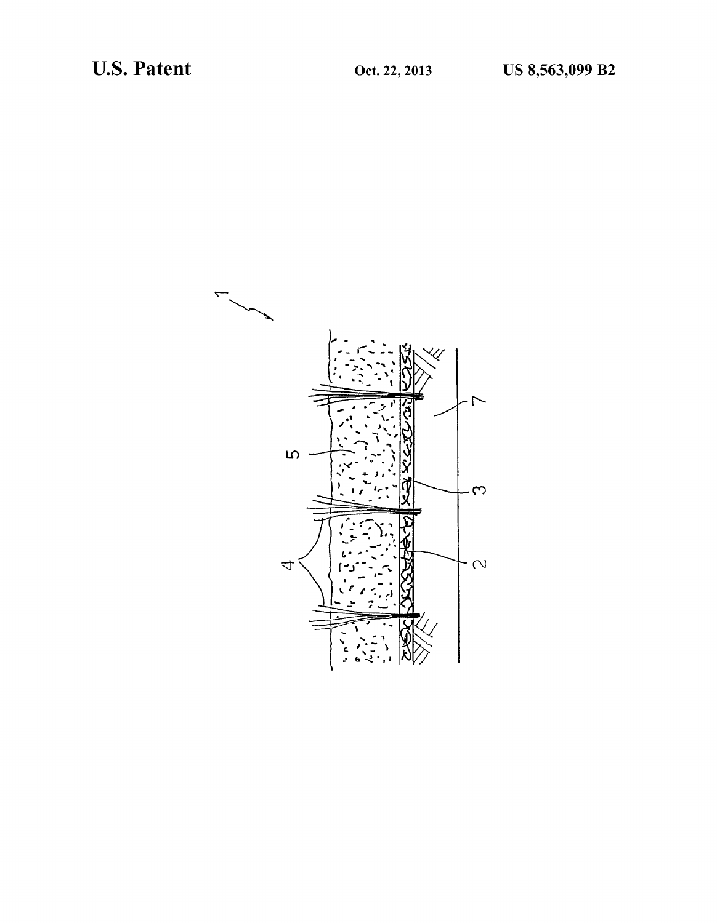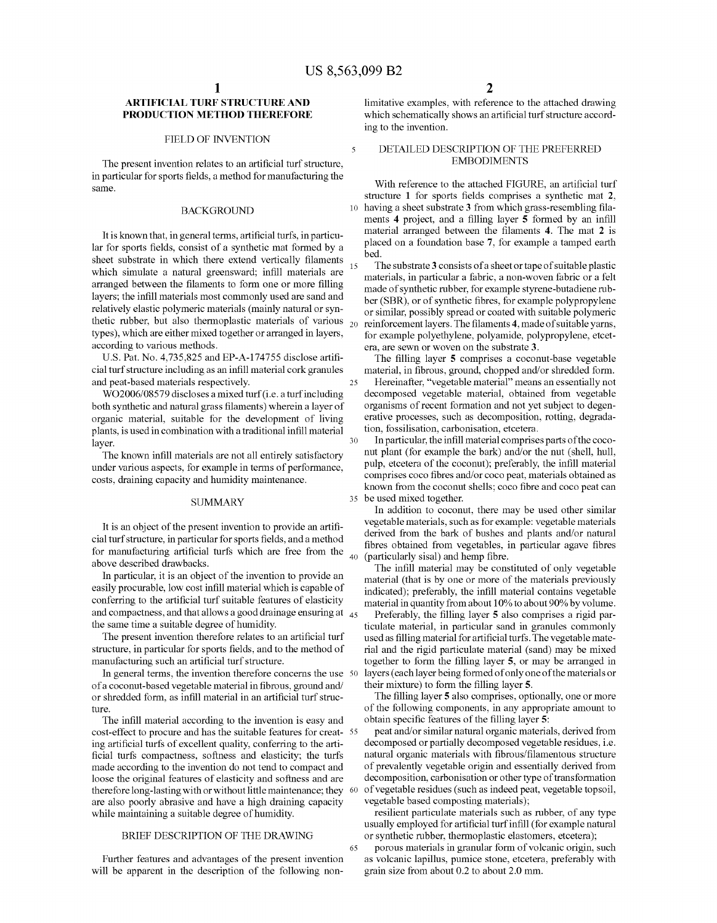25

 $15$ 

30

65

# ARTIFICIAL TURF STRUCTURE AND PRODUCTION METHOD THEREFORE

#### FIELD OF INVENTION

The present invention relates to an artificial turf structure, in particular for sports fields, a method for manufacturing the same.

#### BACKGROUND

It is known that, in general terms, artificial turfs, in particular for sports fields, consist of a synthetic mat formed by a sheet substrate in which there extend vertically filaments which simulate a natural greensward; infill materials are arranged between the filaments to form one or more filling layers; the infill materials most commonly used are sand and relatively elastic polymeric materials (mainly natural or syn thetic rubber, but also thermoplastic materials of various  $_{20}$ types), Which are either mixed together or arranged in layers, according to various methods.

U.S. Pat. No. 4,735,825 and EP-A-174755 disclose artificial turf structure including as an infill material cork granules and peat-based materials respectively.

WO2006/08579 discloses a mixed turf (i.e. a turf including both synthetic and natural grass filaments) wherein a layer of organic material, suitable for the development of living plants, is used in combination with a traditional infill material layer.

The known infill materials are not all entirely satisfactory under various aspects, for example in terms of performance, costs, draining capacity and humidity maintenance.

#### **SUMMARY**

It is an object of the present invention to provide an artificial turf structure, in particular for sports fields, and a method for manufacturing artificial turfs which are free from the above described drawbacks.  $40$ 

In particular, it is an object of the invention to provide an easily procurable, low cost infill material which is capable of conferring to the artificial turf suitable features of elasticity and compactness, and that allows a good drainage ensuring at  $_{45}$ the same time a suitable degree of humidity.

The present invention therefore relates to an artificial turf structure, in particular for sports fields, and to the method of manufacturing such an artificial turf structure.

In general terms, the invention therefore concerns the use 50 of a coconut-based vegetable material in fibrous, ground and/ or shredded form, as infill material in an artificial turf structure.

The infill material according to the invention is easy and cost-effect to procure and has the suitable features for creat- 55 ing artificial turfs of excellent quality, conferring to the artificial turfs compactness, softness and elasticity; the turfs made according to the invention do not tend to compact and loose the original features of elasticity and softness and are therefore long-lasting With or Without little maintenance; they 60 are also poorly abrasive and have a high draining capacity While maintaining a suitable degree of humidity.

#### BRIEF DESCRIPTION OF THE DRAWING

Further features and advantages of the present invention will be apparent in the description of the following nonlimitative examples, with reference to the attached drawing which schematically shows an artificial turf structure according to the invention.

#### DETAILED DESCRIPTION OF THE PREFERRED EMBODIMENTS

With reference to the attached FIGURE, an artificial turf structure 1 for sports fields comprises a synthetic mat  $2$ , 10 having a sheet substrate 3 from which grass-resembling filaments 4 project, and a filling layer 5 formed by an infill material arranged between the filaments 4. The mat 2 is placed on a foundation base 7, for example a tamped earth bed.

The substrate 3 consists of a sheet or tape of suitable plastic materials, in particular a fabric, a non-Woven fabric or a felt made of synthetic rubber, for example styrene-butadiene rub ber (SBR), or of synthetic fibres, for example polypropylene or similar, possibly spread or coated with suitable polymeric reinforcement layers. The filaments 4, made of suitable yarns, for example polyethylene, polyamide, polypropylene, etcet-<br>era, are sewn or woven on the substrate 3.

The filling layer 5 comprises a coconut-base vegetable material, in fibrous, ground, chopped and/or shredded form.

Hereinafter, "vegetable material" means an essentially not decomposed vegetable material, obtained from vegetable organisms of recent formation and not yet subject to degen erative processes, such as decomposition, rotting, degrada tion, fossilisation, carbonisation, etcetera.

35 be used mixed together. In particular, the infill material comprises parts of the coconut plant (for example the bark) and/or the nut (shell, hull, pulp, etcetera of the coconut); preferably, the infill material comprises coco fibres and/or coco peat, materials obtained as known from the coconut shells; coco fibre and coco peat can

In addition to coconut, there may be used other similar vegetable materials, such as for example: vegetable materials derived from the bark of bushes and plants and/or natural fibres obtained from vegetables, in particular agave fibres (particularly sisal) and hemp fibre.

The infill material may be constituted of only vegetable material (that is by one or more of the materials previously indicated); preferably, the infill material contains vegetable material in quantity from about 10% to about 90% by volume.

Preferably, the filling layer 5 also comprises a rigid particulate material, in particular sand in granules commonly used as filling material for artificial turfs. The vegetable material and the rigid particulate material (sand) may be mixed together to form the filling layer 5, or may be arranged in layers (each layer being formed of only one of the materials or their mixture) to form the filling layer  $5$ .

The filling layer 5 also comprises, optionally, one or more of the folloWing components, in any appropriate amount to obtain specific features of the filling layer 5:

peat and/or similar natural organic materials, derived from decomposed or partially decomposed vegetable residues, i.e. natural organic materials with fibrous/filamentous structure of prevalently vegetable origin and essentially derived from decomposition, carbonisation or other type of transformation of vegetable residues (such as indeed peat, vegetable topsoil, vegetable based composting materials);

resilient particulate materials such as rubber, of any type usually employed for artificial turf infill (for example natural or synthetic rubber, thermoplastic elastomers, etcetera);

porous materials in granular form of volcanic origin, such as volcanic lapillus, pumice stone, etcetera, preferably With grain size from about 0.2 to about 2.0 mm.